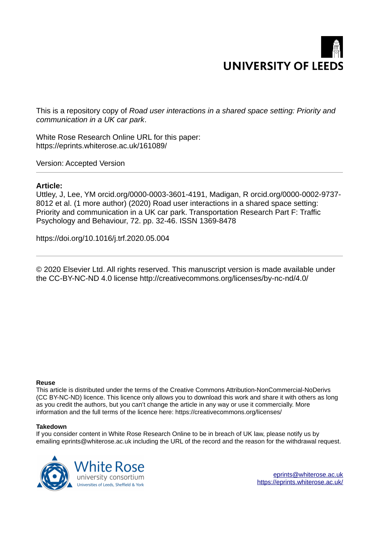# **UNIVERSITY OF LEEDS**

This is a repository copy of *Road user interactions in a shared space setting: Priority and communication in a UK car park*.

White Rose Research Online URL for this paper: https://eprints.whiterose.ac.uk/161089/

Version: Accepted Version

#### **Article:**

Uttley, J, Lee, YM orcid.org/0000-0003-3601-4191, Madigan, R orcid.org/0000-0002-9737- 8012 et al. (1 more author) (2020) Road user interactions in a shared space setting: Priority and communication in a UK car park. Transportation Research Part F: Traffic Psychology and Behaviour, 72. pp. 32-46. ISSN 1369-8478

https://doi.org/10.1016/j.trf.2020.05.004

© 2020 Elsevier Ltd. All rights reserved. This manuscript version is made available under the CC-BY-NC-ND 4.0 license http://creativecommons.org/licenses/by-nc-nd/4.0/

#### **Reuse**

This article is distributed under the terms of the Creative Commons Attribution-NonCommercial-NoDerivs (CC BY-NC-ND) licence. This licence only allows you to download this work and share it with others as long as you credit the authors, but you can't change the article in any way or use it commercially. More information and the full terms of the licence here: https://creativecommons.org/licenses/

#### **Takedown**

If you consider content in White Rose Research Online to be in breach of UK law, please notify us by emailing eprints@whiterose.ac.uk including the URL of the record and the reason for the withdrawal request.



eprints@whiterose.ac.uk https://eprints.whiterose.ac.uk/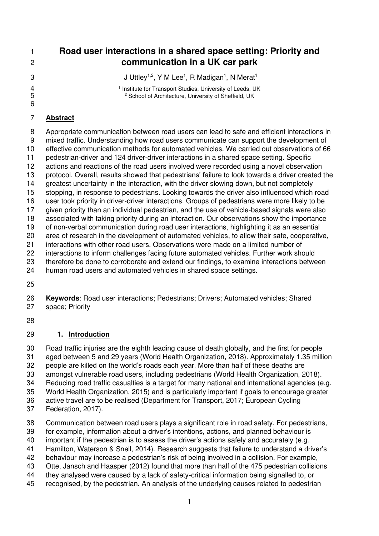**Road user interactions in a shared space setting: Priority and communication in a UK car park**  3 J Uttley<sup>1,2</sup>, Y M Lee<sup>1</sup>, R Madigan<sup>1</sup>, N Merat<sup>1</sup> 1 Institute for Transport Studies, University of Leeds, UK<br>2 School of Architecture. University of Sheffield, UK <sup>2</sup> School of Architecture, University of Sheffield, UK 

# **Abstract**

8 Appropriate communication between road users can lead to safe and efficient interactions in 9 mixed traffic. Understanding how road users communicate can support the development of effective communication methods for automated vehicles. We carried out observations of 66 pedestrian-driver and 124 driver-driver interactions in a shared space setting. Specific actions and reactions of the road users involved were recorded using a novel observation protocol. Overall, results showed that pedestrians' failure to look towards a driver created the greatest uncertainty in the interaction, with the driver slowing down, but not completely stopping, in response to pedestrians. Looking towards the driver also influenced which road user took priority in driver-driver interactions. Groups of pedestrians were more likely to be given priority than an individual pedestrian, and the use of vehicle-based signals were also associated with taking priority during an interaction. Our observations show the importance of non-verbal communication during road user interactions, highlighting it as an essential area of research in the development of automated vehicles, to allow their safe, cooperative, interactions with other road users. Observations were made on a limited number of interactions to inform challenges facing future automated vehicles. Further work should therefore be done to corroborate and extend our findings, to examine interactions between human road users and automated vehicles in shared space settings.

 **Keywords**: Road user interactions; Pedestrians; Drivers; Automated vehicles; Shared space; Priority

# **1. Introduction**

 Road traffic injuries are the eighth leading cause of death globally, and the first for people aged between 5 and 29 years (World Health Organization, 2018). Approximately 1.35 million people are killed on the world's roads each year. More than half of these deaths are amongst vulnerable road users, including pedestrians (World Health Organization, 2018). Reducing road traffic casualties is a target for many national and international agencies (e.g. World Health Organization, 2015) and is particularly important if goals to encourage greater active travel are to be realised (Department for Transport, 2017; European Cycling

Federation, 2017).

Communication between road users plays a significant role in road safety. For pedestrians,

- for example, information about a driver's intentions, actions, and planned behaviour is
- important if the pedestrian is to assess the driver's actions safely and accurately (e.g.
- Hamilton, Waterson & Snell, 2014). Research suggests that failure to understand a driver's
- behaviour may increase a pedestrian's risk of being involved in a collision. For example,
- Otte, Jansch and Haasper (2012) found that more than half of the 475 pedestrian collisions
- they analysed were caused by a lack of safety-critical information being signalled to, or
- recognised, by the pedestrian. An analysis of the underlying causes related to pedestrian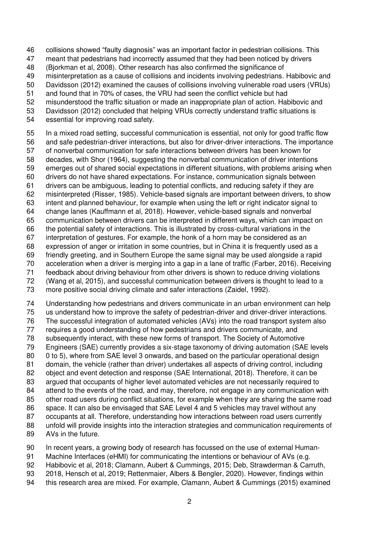collisions showed "faulty diagnosis" was an important factor in pedestrian collisions. This

meant that pedestrians had incorrectly assumed that they had been noticed by drivers

(Bjorkman et al, 2008). Other research has also confirmed the significance of

misinterpretation as a cause of collisions and incidents involving pedestrians. Habibovic and

Davidsson (2012) examined the causes of collisions involving vulnerable road users (VRUs)

and found that in 70% of cases, the VRU had seen the conflict vehicle but had

 misunderstood the traffic situation or made an inappropriate plan of action. Habibovic and Davidsson (2012) concluded that helping VRUs correctly understand traffic situations is

essential for improving road safety.

In a mixed road setting, successful communication is essential, not only for good traffic flow

 and safe pedestrian-driver interactions, but also for driver-driver interactions. The importance of nonverbal communication for safe interactions between drivers has been known for

decades, with Shor (1964), suggesting the nonverbal communication of driver intentions

emerges out of shared social expectations in different situations, with problems arising when

drivers do not have shared expectations. For instance, communication signals between

drivers can be ambiguous, leading to potential conflicts, and reducing safety if they are

misinterpreted (Risser, 1985). Vehicle-based signals are important between drivers, to show

intent and planned behaviour, for example when using the left or right indicator signal to

 change lanes (Kauffmann et al, 2018). However, vehicle-based signals and nonverbal communication between drivers can be interpreted in different ways, which can impact on

the potential safety of interactions. This is illustrated by cross-cultural variations in the

interpretation of gestures. For example, the honk of a horn may be considered as an

expression of anger or irritation in some countries, but in China it is frequently used as a

 friendly greeting, and in Southern Europe the same signal may be used alongside a rapid acceleration when a driver is merging into a gap in a lane of traffic (Farber, 2016). Receiving

feedback about driving behaviour from other drivers is shown to reduce driving violations

(Wang et al, 2015), and successful communication between drivers is thought to lead to a

more positive social driving climate and safer interactions (Zaidel, 1992).

Understanding how pedestrians and drivers communicate in an urban environment can help

us understand how to improve the safety of pedestrian-driver and driver-driver interactions.

The successful integration of automated vehicles (AVs) into the road transport system also

 requires a good understanding of how pedestrians and drivers communicate, and subsequently interact, with these new forms of transport. The Society of Automotive

Engineers (SAE) currently provides a six-stage taxonomy of driving automation (SAE levels

0 to 5), where from SAE level 3 onwards, and based on the particular operational design

domain, the vehicle (rather than driver) undertakes all aspects of driving control, including

object and event detection and response (SAE International, 2018). Therefore, it can be

argued that occupants of higher level automated vehicles are not necessarily required to

84 attend to the events of the road, and may, therefore, not engage in any communication with

85 other road users during conflict situations, for example when they are sharing the same road space. It can also be envisaged that SAE Level 4 and 5 vehicles may travel without any

occupants at all. Therefore, understanding how interactions between road users currently

 unfold will provide insights into the interaction strategies and communication requirements of AVs in the future.

In recent years, a growing body of research has focussed on the use of external Human-

Machine Interfaces (eHMI) for communicating the intentions or behaviour of AVs (e.g.

Habibovic et al, 2018; Clamann, Aubert & Cummings, 2015; Deb, Strawderman & Carruth,

2018, Hensch et al, 2019; Rettenmaier, Albers & Bengler, 2020). However, findings within

this research area are mixed. For example, Clamann, Aubert & Cummings (2015) examined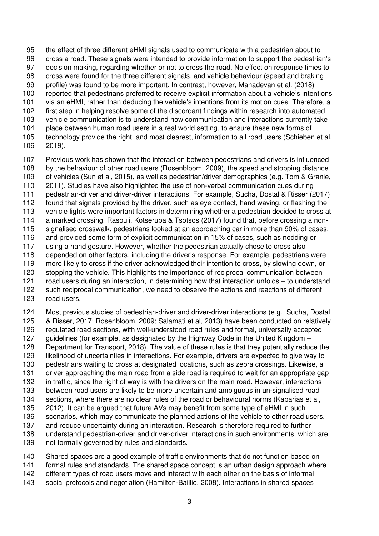the effect of three different eHMI signals used to communicate with a pedestrian about to cross a road. These signals were intended to provide information to support the pedestrian's decision making, regarding whether or not to cross the road. No effect on response times to cross were found for the three different signals, and vehicle behaviour (speed and braking profile) was found to be more important. In contrast, however, Mahadevan et al. (2018) reported that pedestrians preferred to receive explicit information about a vehicle's intentions via an eHMI, rather than deducing the vehicle's intentions from its motion cues. Therefore, a first step in helping resolve some of the discordant findings within research into automated vehicle communication is to understand how communication and interactions currently take place between human road users in a real world setting, to ensure these new forms of technology provide the right, and most clearest, information to all road users (Schieben et al, 2019).

 Previous work has shown that the interaction between pedestrians and drivers is influenced by the behaviour of other road users (Rosenbloom, 2009), the speed and stopping distance of vehicles (Sun et al, 2015), as well as pedestrian/driver demographics (e.g. Tom & Granie, 2011). Studies have also highlighted the use of non-verbal communication cues during pedestrian-driver and driver-driver interactions. For example, Sucha, Dostal & Risser (2017) found that signals provided by the driver, such as eye contact, hand waving, or flashing the vehicle lights were important factors in determining whether a pedestrian decided to cross at a marked crossing. Rasouli, Kotseruba & Tsotsos (2017) found that, before crossing a non-115 signalised crosswalk, pedestrians looked at an approaching car in more than 90% of cases, and provided some form of explicit communication in 15% of cases, such as nodding or using a hand gesture. However, whether the pedestrian actually chose to cross also depended on other factors, including the driver's response. For example, pedestrians were more likely to cross if the driver acknowledged their intention to cross, by slowing down, or 120 stopping the vehicle. This highlights the importance of reciprocal communication between road users during an interaction, in determining how that interaction unfolds – to understand such reciprocal communication, we need to observe the actions and reactions of different road users.

 Most previous studies of pedestrian-driver and driver-driver interactions (e.g. Sucha, Dostal & Risser, 2017; Rosenbloom, 2009; Salamati et al, 2013) have been conducted on relatively regulated road sections, with well-understood road rules and formal, universally accepted guidelines (for example, as designated by the Highway Code in the United Kingdom – Department for Transport, 2018). The value of these rules is that they potentially reduce the likelihood of uncertainties in interactions. For example, drivers are expected to give way to pedestrians waiting to cross at designated locations, such as zebra crossings. Likewise, a driver approaching the main road from a side road is required to wait for an appropriate gap in traffic, since the right of way is with the drivers on the main road. However, interactions between road users are likely to be more uncertain and ambiguous in un-signalised road sections, where there are no clear rules of the road or behavioural norms (Kaparias et al, 2012). It can be argued that future AVs may benefit from some type of eHMI in such scenarios, which may communicate the planned actions of the vehicle to other road users, and reduce uncertainty during an interaction. Research is therefore required to further understand pedestrian-driver and driver-driver interactions in such environments, which are not formally governed by rules and standards.

Shared spaces are a good example of traffic environments that do not function based on

formal rules and standards. The shared space concept is an urban design approach where

 different types of road users move and interact with each other on the basis of informal social protocols and negotiation (Hamilton-Baillie, 2008). Interactions in shared spaces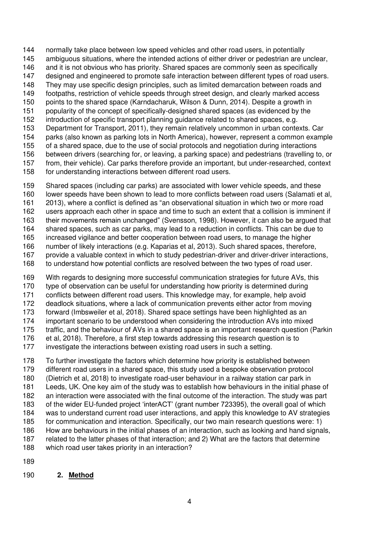normally take place between low speed vehicles and other road users, in potentially

- ambiguous situations, where the intended actions of either driver or pedestrian are unclear,
- and it is not obvious who has priority. Shared spaces are commonly seen as specifically
- designed and engineered to promote safe interaction between different types of road users.
- They may use specific design principles, such as limited demarcation between roads and footpaths, restriction of vehicle speeds through street design, and clearly marked access
- points to the shared space (Karndacharuk, Wilson & Dunn, 2014). Despite a growth in
- popularity of the concept of specifically-designed shared spaces (as evidenced by the
- introduction of specific transport planning guidance related to shared spaces, e.g.
- Department for Transport, 2011), they remain relatively uncommon in urban contexts. Car
- parks (also known as parking lots in North America), however, represent a common example
- of a shared space, due to the use of social protocols and negotiation during interactions
- between drivers (searching for, or leaving, a parking space) and pedestrians (travelling to, or from, their vehicle). Car parks therefore provide an important, but under-researched, context
- for understanding interactions between different road users.
- Shared spaces (including car parks) are associated with lower vehicle speeds, and these
- lower speeds have been shown to lead to more conflicts between road users (Salamati et al,
- 2013), where a conflict is defined as "an observational situation in which two or more road
- users approach each other in space and time to such an extent that a collision is imminent if
- their movements remain unchanged" (Svensson, 1998). However, it can also be argued that
- shared spaces, such as car parks, may lead to a reduction in conflicts. This can be due to
- increased vigilance and better cooperation between road users, to manage the higher
- number of likely interactions (e.g. Kaparias et al, 2013). Such shared spaces, therefore,
- provide a valuable context in which to study pedestrian-driver and driver-driver interactions, to understand how potential conflicts are resolved between the two types of road user.
- 
- With regards to designing more successful communication strategies for future AVs, this
- type of observation can be useful for understanding how priority is determined during
- conflicts between different road users. This knowledge may, for example, help avoid
- deadlock situations, where a lack of communication prevents either actor from moving forward (Imbsweiler et al, 2018). Shared space settings have been highlighted as an
- important scenario to be understood when considering the introduction AVs into mixed
- traffic, and the behaviour of AVs in a shared space is an important research question (Parkin
- et al, 2018). Therefore, a first step towards addressing this research question is to
- investigate the interactions between existing road users in such a setting.
- To further investigate the factors which determine how priority is established between different road users in a shared space, this study used a bespoke observation protocol (Dietrich et al, 2018) to investigate road-user behaviour in a railway station car park in Leeds, UK. One key aim of the study was to establish how behaviours in the initial phase of an interaction were associated with the final outcome of the interaction. The study was part of the wider EU-funded project 'interACT' (grant number 723395), the overall goal of which was to understand current road user interactions, and apply this knowledge to AV strategies for communication and interaction. Specifically, our two main research questions were: 1) How are behaviours in the initial phases of an interaction, such as looking and hand signals, related to the latter phases of that interaction; and 2) What are the factors that determine which road user takes priority in an interaction?
- 
- **2. Method**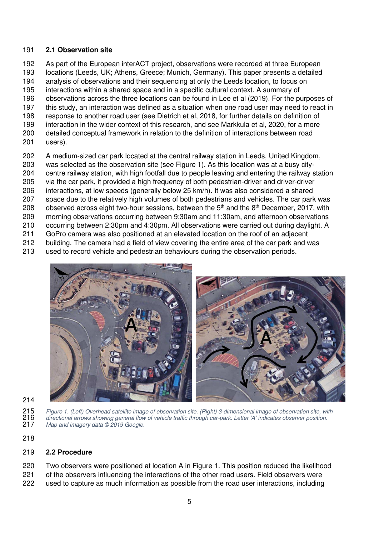#### **2.1 Observation site**

 As part of the European interACT project, observations were recorded at three European locations (Leeds, UK; Athens, Greece; Munich, Germany). This paper presents a detailed analysis of observations and their sequencing at only the Leeds location, to focus on interactions within a shared space and in a specific cultural context. A summary of observations across the three locations can be found in Lee et al (2019). For the purposes of this study, an interaction was defined as a situation when one road user may need to react in response to another road user (see Dietrich et al, 2018, for further details on definition of interaction in the wider context of this research, and see Markkula et al, 2020, for a more detailed conceptual framework in relation to the definition of interactions between road users).

 A medium-sized car park located at the central railway station in Leeds, United Kingdom, was selected as the observation site (see [Figure 1\)](#page-5-0). As this location was at a busy city- centre railway station, with high footfall due to people leaving and entering the railway station via the car park, it provided a high frequency of both pedestrian-driver and driver-driver interactions, at low speeds (generally below 25 km/h). It was also considered a shared space due to the relatively high volumes of both pedestrians and vehicles. The car park was 208 observed across eight two-hour sessions, between the  $5<sup>th</sup>$  and the  $8<sup>th</sup>$  December, 2017, with morning observations occurring between 9:30am and 11:30am, and afternoon observations occurring between 2:30pm and 4:30pm. All observations were carried out during daylight. A GoPro camera was also positioned at an elevated location on the roof of an adjacent building. The camera had a field of view covering the entire area of the car park and was used to record vehicle and pedestrian behaviours during the observation periods.



<span id="page-5-0"></span>215 Figure 1. (Left) Overhead satellite image of observation site. (Right) 3-dimensional image of observation site, with<br>216 directional arrows showing general flow of vehicle traffic through car-park. Letter 'A' indicates 216 directional arrows showing general flow of vehicle traffic through car-park. Letter 'A' indicates observer position.<br>217 Map and imagery data © 2019 Google. Map and imagery data © 2019 Google.

# **2.2 Procedure**

 Two observers were positioned at location A in Figure 1. This position reduced the likelihood of the observers influencing the interactions of the other road users. Field observers were used to capture as much information as possible from the road user interactions, including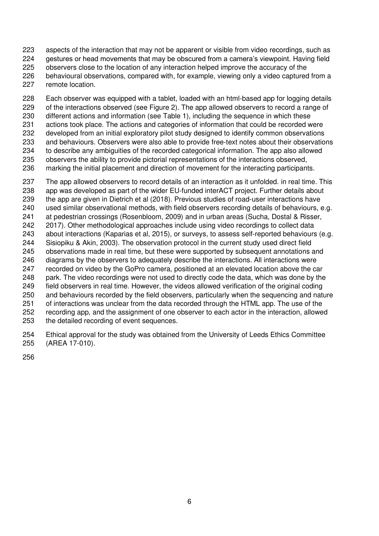aspects of the interaction that may not be apparent or visible from video recordings, such as gestures or head movements that may be obscured from a camera's viewpoint. Having field observers close to the location of any interaction helped improve the accuracy of the behavioural observations, compared with, for example, viewing only a video captured from a remote location.

 Each observer was equipped with a tablet, loaded with an html-based app for logging details 229 of the interactions observed (see [Figure 2\)](#page-7-0). The app allowed observers to record a range of different actions and information (see [Table 1\)](#page-7-1), including the sequence in which these actions took place. The actions and categories of information that could be recorded were developed from an initial exploratory pilot study designed to identify common observations and behaviours. Observers were also able to provide free-text notes about their observations to describe any ambiguities of the recorded categorical information. The app also allowed observers the ability to provide pictorial representations of the interactions observed, marking the initial placement and direction of movement for the interacting participants.

237 The app allowed observers to record details of an interaction as it unfolded, in real time. This app was developed as part of the wider EU-funded interACT project. Further details about the app are given in Dietrich et al (2018). Previous studies of road-user interactions have used similar observational methods, with field observers recording details of behaviours, e.g. at pedestrian crossings (Rosenbloom, 2009) and in urban areas (Sucha, Dostal & Risser, 2017). Other methodological approaches include using video recordings to collect data about interactions (Kaparias et al, 2015), or surveys, to assess self-reported behaviours (e.g. Sisiopiku & Akin, 2003). The observation protocol in the current study used direct field observations made in real time, but these were supported by subsequent annotations and diagrams by the observers to adequately describe the interactions. All interactions were recorded on video by the GoPro camera, positioned at an elevated location above the car 248 park. The video recordings were not used to directly code the data, which was done by the field observers in real time. However, the videos allowed verification of the original coding and behaviours recorded by the field observers, particularly when the sequencing and nature of interactions was unclear from the data recorded through the HTML app. The use of the recording app, and the assignment of one observer to each actor in the interaction, allowed the detailed recording of event sequences.

 Ethical approval for the study was obtained from the University of Leeds Ethics Committee (AREA 17-010).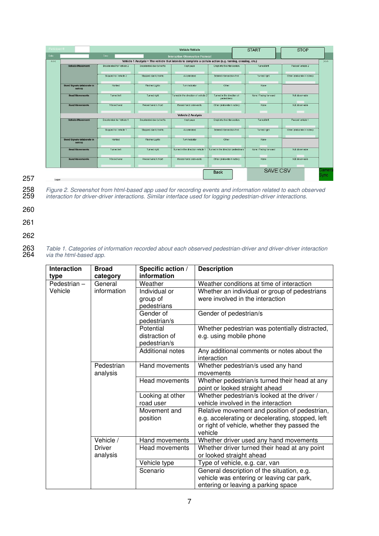| Participant # |                                                                                                                                                                                                |                           |                                   | Vehicle-Vehicle                                                                                           |                             | <b>START</b>                            | <b>STOP</b>                |                |
|---------------|------------------------------------------------------------------------------------------------------------------------------------------------------------------------------------------------|---------------------------|-----------------------------------|-----------------------------------------------------------------------------------------------------------|-----------------------------|-----------------------------------------|----------------------------|----------------|
| Date:         |                                                                                                                                                                                                | Time:                     |                                   | <b>Interaction Observation Protocol</b>                                                                   |                             |                                         |                            |                |
| <<            |                                                                                                                                                                                                |                           |                                   | Vehicle 1 Analysis - The vehicle that intends to complete a certain action (e.g. turning, crossing, etc.) |                             |                                         |                            | >              |
|               | <b>Vehicle Movement</b>                                                                                                                                                                        | Decelerated for vehicle 2 | Decelerated due to traffic        | Kept pace                                                                                                 | Crept into the intersection | Turned left                             | Passed vehicle 2           |                |
|               |                                                                                                                                                                                                | Stopped for vehicle 2     | Stopped due to traffic            | Accelerated                                                                                               | Entered intersection first  | Turned right                            | Other (elaborate in notes) |                |
|               | Flashed Lights<br><b>Used Signals (elaborate in</b><br>Honked<br>notes)<br>Turned left<br>Turned right<br><b>Head Movements</b><br>Waved hand<br>Raised hand in front<br><b>Hand Movements</b> |                           | Turn Indicator                    | Other                                                                                                     | None                        |                                         |                            |                |
|               |                                                                                                                                                                                                |                           |                                   | Turned in the direction of vehicle 2<br>Turned in the direction of<br>pedestrians                         |                             | None / Facing forward<br>Not observable |                            |                |
|               |                                                                                                                                                                                                |                           |                                   | Raised hand sidewards                                                                                     | Other (elaborate in notes)  | None                                    | Not observable             |                |
|               |                                                                                                                                                                                                |                           |                                   | <b>Vehicle 2 Analysis</b>                                                                                 |                             |                                         |                            |                |
|               | <b>Vehicle Movement</b>                                                                                                                                                                        | Decelerated for Vehicle 1 | Decelerated due to traffic        | Kept pace                                                                                                 | Crept into the intersection | Turned left                             | Passed vehicle 1           |                |
|               |                                                                                                                                                                                                | Stopped for vehicle 1     | Stopped due to traffic            | Accelerated                                                                                               | Entered intersection first  | Turned right                            | Other (elaborate in notes) |                |
|               | <b>Used Signals (elaborate in</b><br>notes)                                                                                                                                                    | Honked                    | Flashed Lights                    | Turn Indicator                                                                                            | Other                       | None                                    |                            |                |
|               | Turned right<br><b>Head Movements</b><br>Turned left                                                                                                                                           |                           | Turned in the direction vehicle 1 | Turned in the direction pedestrians                                                                       | None / Facing forward       | Not observable                          |                            |                |
|               | <b>Hand Movements</b>                                                                                                                                                                          | Waved hand                | Raised hand in front              | Raised hand sidewards                                                                                     | Other (elaborate in notes)  | None                                    | Not observable             |                |
| Logger        | <b>SAVE CSV</b><br><b>Back</b>                                                                                                                                                                 |                           |                                   |                                                                                                           |                             |                                         |                            | Camera<br>Sync |

<span id="page-7-0"></span>258 Figure 2. Screenshot from html-based app used for recording events and information related to each observed 259 interaction for driver-driver interactions. Similar interface used for logging pedestrian-driver interactions.

- 260
- 261
- 262

263 Table 1. Categories of information recorded about each observed pedestrian-driver and driver-driver interaction 264 via the html-based app.

<span id="page-7-1"></span>

| <b>Interaction</b> | <b>Broad</b>            | Specific action /     | <b>Description</b>                               |
|--------------------|-------------------------|-----------------------|--------------------------------------------------|
| type               | category                | information           |                                                  |
| Pedestrian-        | General                 | Weather               | Weather conditions at time of interaction        |
| Vehicle            | information             | Individual or         | Whether an individual or group of pedestrians    |
|                    | group of<br>pedestrians |                       | were involved in the interaction                 |
|                    |                         |                       |                                                  |
|                    |                         | Gender of             | Gender of pedestrian/s                           |
|                    |                         | pedestrian/s          |                                                  |
|                    |                         | Potential             | Whether pedestrian was potentially distracted,   |
|                    |                         | distraction of        | e.g. using mobile phone                          |
|                    |                         | pedestrian/s          |                                                  |
|                    |                         | Additional notes      | Any additional comments or notes about the       |
|                    |                         |                       | interaction                                      |
|                    | Pedestrian              | Hand movements        | Whether pedestrian/s used any hand               |
|                    | analysis                |                       | movements                                        |
|                    |                         | Head movements        | Whether pedestrian/s turned their head at any    |
|                    |                         |                       | point or looked straight ahead                   |
|                    |                         | Looking at other      | Whether pedestrian/s looked at the driver /      |
|                    |                         | road user             | vehicle involved in the interaction              |
|                    |                         | Movement and          | Relative movement and position of pedestrian,    |
|                    |                         | position              | e.g. accelerating or decelerating, stopped, left |
|                    |                         |                       | or right of vehicle, whether they passed the     |
|                    | Vehicle /               | Hand movements        | vehicle                                          |
|                    | <b>Driver</b>           |                       | Whether driver used any hand movements           |
|                    |                         | <b>Head movements</b> | Whether driver turned their head at any point    |
|                    | analysis                |                       | or looked straight ahead                         |
|                    |                         | Vehicle type          | Type of vehicle, e.g. car, van                   |
|                    |                         | Scenario              | General description of the situation, e.g.       |
|                    |                         |                       | vehicle was entering or leaving car park,        |
|                    |                         |                       | entering or leaving a parking space              |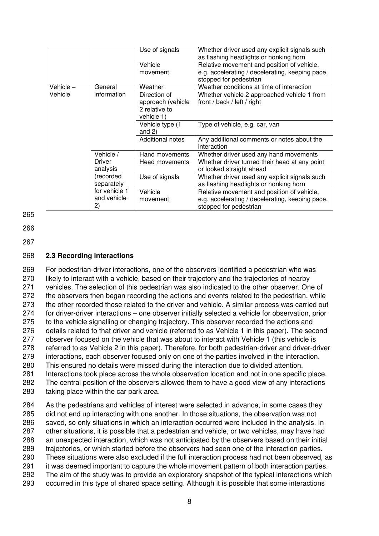|             |                                    | Use of signals                                                   | Whether driver used any explicit signals such<br>as flashing headlights or honking horn                                 |
|-------------|------------------------------------|------------------------------------------------------------------|-------------------------------------------------------------------------------------------------------------------------|
|             |                                    | Vehicle<br>movement                                              | Relative movement and position of vehicle,<br>e.g. accelerating / decelerating, keeping pace,<br>stopped for pedestrian |
| Vehicle $-$ | General                            | Weather                                                          | Weather conditions at time of interaction                                                                               |
| Vehicle     | information                        | Direction of<br>approach (vehicle<br>2 relative to<br>vehicle 1) | Whether vehicle 2 approached vehicle 1 from<br>front / back / left / right                                              |
|             |                                    | Vehicle type (1<br>and $2)$                                      | Type of vehicle, e.g. car, van                                                                                          |
|             |                                    | Additional notes                                                 | Any additional comments or notes about the<br>interaction                                                               |
|             | Vehicle /                          | Hand movements                                                   | Whether driver used any hand movements                                                                                  |
|             | Driver<br>analysis                 | Head movements                                                   | Whether driver turned their head at any point<br>or looked straight ahead                                               |
|             | (recorded<br>separately            | Use of signals                                                   | Whether driver used any explicit signals such<br>as flashing headlights or honking horn                                 |
|             | for vehicle 1<br>and vehicle<br>2) | Vehicle<br>movement                                              | Relative movement and position of vehicle,<br>e.g. accelerating / decelerating, keeping pace,<br>stopped for pedestrian |

265

266

267

#### 268 **2.3 Recording interactions**

 For pedestrian-driver interactions, one of the observers identified a pedestrian who was likely to interact with a vehicle, based on their trajectory and the trajectories of nearby vehicles. The selection of this pedestrian was also indicated to the other observer. One of 272 the observers then began recording the actions and events related to the pedestrian, while the other recorded those related to the driver and vehicle. A similar process was carried out for driver-driver interactions – one observer initially selected a vehicle for observation, prior to the vehicle signalling or changing trajectory. This observer recorded the actions and details related to that driver and vehicle (referred to as Vehicle 1 in this paper). The second 277 observer focused on the vehicle that was about to interact with Vehicle 1 (this vehicle is referred to as Vehicle 2 in this paper). Therefore, for both pedestrian-driver and driver-driver interactions, each observer focused only on one of the parties involved in the interaction. This ensured no details were missed during the interaction due to divided attention. Interactions took place across the whole observation location and not in one specific place. The central position of the observers allowed them to have a good view of any interactions taking place within the car park area.

 As the pedestrians and vehicles of interest were selected in advance, in some cases they did not end up interacting with one another. In those situations, the observation was not saved, so only situations in which an interaction occurred were included in the analysis. In other situations, it is possible that a pedestrian and vehicle, or two vehicles, may have had an unexpected interaction, which was not anticipated by the observers based on their initial trajectories, or which started before the observers had seen one of the interaction parties. These situations were also excluded if the full interaction process had not been observed, as it was deemed important to capture the whole movement pattern of both interaction parties. The aim of the study was to provide an exploratory snapshot of the typical interactions which occurred in this type of shared space setting. Although it is possible that some interactions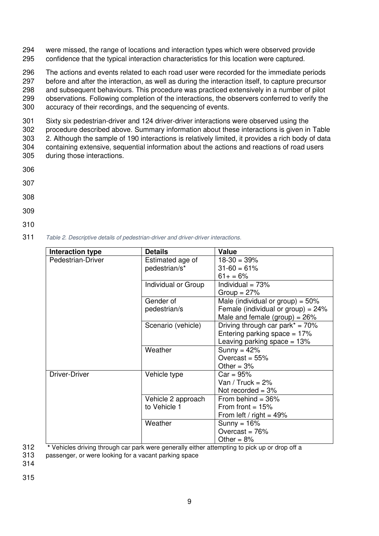294 were missed, the range of locations and interaction types which were observed provide 295 confidence that the typical interaction characteristics for this location were captured.

 The actions and events related to each road user were recorded for the immediate periods before and after the interaction, as well as during the interaction itself, to capture precursor and subsequent behaviours. This procedure was practiced extensively in a number of pilot observations. Following completion of the interactions, the observers conferred to verify the accuracy of their recordings, and the sequencing of events.

 Sixty six pedestrian-driver and 124 driver-driver interactions were observed using the procedure described above. Summary information about these interactions is given in [Table](#page-9-0)  [2.](#page-9-0) Although the sample of 190 interactions is relatively limited, it provides a rich body of data containing extensive, sequential information about the actions and reactions of road users during those interactions.

- 306
- 307
- 
- 308
- 309
- 310

311 Table 2. Descriptive details of pedestrian-driver and driver-driver interactions.

<span id="page-9-0"></span>

| Interaction type     | <b>Details</b>      | Value                                 |
|----------------------|---------------------|---------------------------------------|
| Pedestrian-Driver    | Estimated age of    | $18-30 = 39%$                         |
|                      | pedestrian/s*       | $31 - 60 = 61%$                       |
|                      |                     | $61+ = 6%$                            |
|                      | Individual or Group | Individual = $73%$                    |
|                      |                     | Group = $27%$                         |
|                      | Gender of           | Male (individual or group) = $50\%$   |
|                      | pedestrian/s        | Female (individual or group) = $24\%$ |
|                      |                     | Male and female $(group) = 26%$       |
|                      | Scenario (vehicle)  | Driving through car park* = $70\%$    |
|                      |                     | Entering parking space $= 17\%$       |
|                      |                     | Leaving parking space $= 13%$         |
|                      | Weather             | Sunny = $42\%$                        |
|                      |                     | Overcast = $55%$                      |
|                      |                     | Other = $3%$                          |
| <b>Driver-Driver</b> | Vehicle type        | $Car = 95%$                           |
|                      |                     | Van / Truck = $2\%$                   |
|                      |                     | Not recorded = $3\%$                  |
|                      | Vehicle 2 approach  | From behind $=$ 36%                   |
|                      | to Vehicle 1        | From front $= 15%$                    |
|                      |                     | From left / right = $49\%$            |
|                      | Weather             | Sunny = $16%$                         |
|                      |                     | Overcast = $76%$                      |
|                      |                     | Other = $8\%$                         |

312 **\*** Vehicles driving through car park were generally either attempting to pick up or drop off a

313 passenger, or were looking for a vacant parking space

314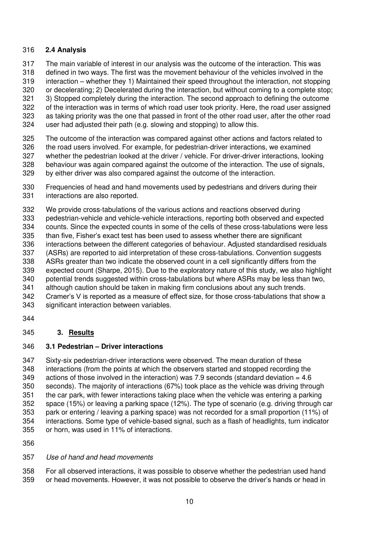## **2.4 Analysis**

- The main variable of interest in our analysis was the outcome of the interaction. This was
- defined in two ways. The first was the movement behaviour of the vehicles involved in the
- interaction whether they 1) Maintained their speed throughout the interaction, not stopping
- or decelerating; 2) Decelerated during the interaction, but without coming to a complete stop;
- 3) Stopped completely during the interaction. The second approach to defining the outcome of the interaction was in terms of which road user took priority. Here, the road user assigned
- as taking priority was the one that passed in front of the other road user, after the other road
- user had adjusted their path (e.g. slowing and stopping) to allow this.
- The outcome of the interaction was compared against other actions and factors related to the road users involved. For example, for pedestrian-driver interactions, we examined whether the pedestrian looked at the driver / vehicle. For driver-driver interactions, looking behaviour was again compared against the outcome of the interaction. The use of signals, by either driver was also compared against the outcome of the interaction.
- Frequencies of head and hand movements used by pedestrians and drivers during their interactions are also reported.
- We provide cross-tabulations of the various actions and reactions observed during pedestrian-vehicle and vehicle-vehicle interactions, reporting both observed and expected
- counts. Since the expected counts in some of the cells of these cross-tabulations were less
- than five, Fisher's exact test has been used to assess whether there are significant
- interactions between the different categories of behaviour. Adjusted standardised residuals
- (ASRs) are reported to aid interpretation of these cross-tabulations. Convention suggests
- ASRs greater than two indicate the observed count in a cell significantly differs from the
- expected count (Sharpe, 2015). Due to the exploratory nature of this study, we also highlight potential trends suggested within cross-tabulations but where ASRs may be less than two,
- although caution should be taken in making firm conclusions about any such trends.
- Cramer's V is reported as a measure of effect size, for those cross-tabulations that show a
- significant interaction between variables.
- 

# **3. Results**

# **3.1 Pedestrian – Driver interactions**

 Sixty-six pedestrian-driver interactions were observed. The mean duration of these interactions (from the points at which the observers started and stopped recording the actions of those involved in the interaction) was 7.9 seconds (standard deviation = 4.6 seconds). The majority of interactions (67%) took place as the vehicle was driving through the car park, with fewer interactions taking place when the vehicle was entering a parking space (15%) or leaving a parking space (12%). The type of scenario (e.g. driving through car park or entering / leaving a parking space) was not recorded for a small proportion (11%) of interactions. Some type of vehicle-based signal, such as a flash of headlights, turn indicator or horn, was used in 11% of interactions.

# Use of hand and head movements

 For all observed interactions, it was possible to observe whether the pedestrian used hand or head movements. However, it was not possible to observe the driver's hands or head in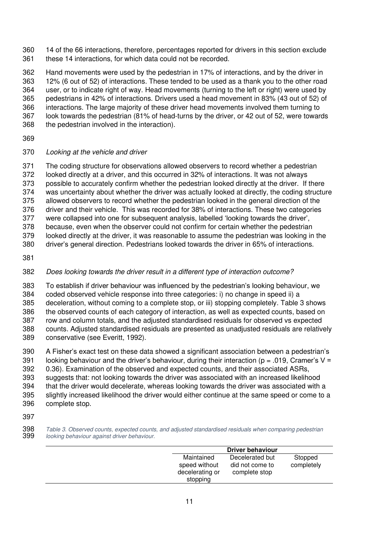14 of the 66 interactions, therefore, percentages reported for drivers in this section exclude these 14 interactions, for which data could not be recorded.

 Hand movements were used by the pedestrian in 17% of interactions, and by the driver in 12% (6 out of 52) of interactions. These tended to be used as a thank you to the other road user, or to indicate right of way. Head movements (turning to the left or right) were used by pedestrians in 42% of interactions. Drivers used a head movement in 83% (43 out of 52) of interactions. The large majority of these driver head movements involved them turning to look towards the pedestrian (81% of head-turns by the driver, or 42 out of 52, were towards the pedestrian involved in the interaction).

## Looking at the vehicle and driver

 The coding structure for observations allowed observers to record whether a pedestrian looked directly at a driver, and this occurred in 32% of interactions. It was not always possible to accurately confirm whether the pedestrian looked directly at the driver. If there was uncertainty about whether the driver was actually looked at directly, the coding structure allowed observers to record whether the pedestrian looked in the general direction of the driver and their vehicle. This was recorded for 38% of interactions. These two categories were collapsed into one for subsequent analysis, labelled 'looking towards the driver', because, even when the observer could not confirm for certain whether the pedestrian looked directly at the driver, it was reasonable to assume the pedestrian was looking in the driver's general direction. Pedestrians looked towards the driver in 65% of interactions.

# Does looking towards the driver result in a different type of interaction outcome?

 To establish if driver behaviour was influenced by the pedestrian's looking behaviour, we coded observed vehicle response into three categories: i) no change in speed ii) a deceleration, without coming to a complete stop, or iii) stopping completely. [Table 3](#page-11-0) shows the observed counts of each category of interaction, as well as expected counts, based on row and column totals, and the adjusted standardised residuals for observed vs expected counts. Adjusted standardised residuals are presented as unadjusted residuals are relatively conservative (see Everitt, 1992).

 A Fisher's exact test on these data showed a significant association between a pedestrian's 391 looking behaviour and the driver's behaviour, during their interaction ( $p = .019$ , Cramer's V = 0.36). Examination of the observed and expected counts, and their associated ASRs, suggests that: not looking towards the driver was associated with an increased likelihood that the driver would decelerate, whereas looking towards the driver was associated with a slightly increased likelihood the driver would either continue at the same speed or come to a complete stop.

 Table 3. Observed counts, expected counts, and adjusted standardised residuals when comparing pedestrian looking behaviour against driver behaviour.

<span id="page-11-0"></span>

|                                                            | Driver behaviour                                    |                       |
|------------------------------------------------------------|-----------------------------------------------------|-----------------------|
| Maintained<br>speed without<br>decelerating or<br>stopping | Decelerated but<br>did not come to<br>complete stop | Stopped<br>completely |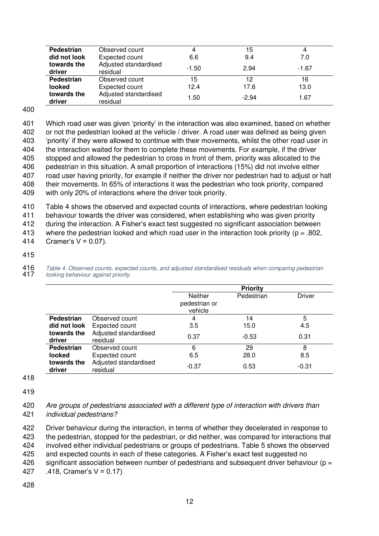| Pedestrian<br>did not look | Observed count<br>Expected count  | 4<br>6.6 | 15<br>9.4 | 7.0     |
|----------------------------|-----------------------------------|----------|-----------|---------|
| towards the<br>driver      | Adjusted standardised<br>residual | $-1.50$  | 2.94      | $-1.67$ |
| Pedestrian                 | Observed count                    | 15       | 12        | 16      |
| looked                     | Expected count                    | 12.4     | 17.6      | 13.0    |
| towards the<br>driver      | Adjusted standardised<br>residual | 1.50     | $-2.94$   | 1.67    |

400

 Which road user was given 'priority' in the interaction was also examined, based on whether or not the pedestrian looked at the vehicle / driver. A road user was defined as being given 'priority' if they were allowed to continue with their movements, whilst the other road user in the interaction waited for them to complete these movements. For example, if the driver stopped and allowed the pedestrian to cross in front of them, priority was allocated to the pedestrian in this situation. A small proportion of interactions (15%) did not involve either road user having priority, for example if neither the driver nor pedestrian had to adjust or halt their movements. In 65% of interactions it was the pedestrian who took priority, compared with only 20% of interactions where the driver took priority.

410 [Table 4](#page-12-0) shows the observed and expected counts of interactions, where pedestrian looking

411 behaviour towards the driver was considered, when establishing who was given priority

412 during the interaction. A Fisher's exact test suggested no significant association between

413 where the pedestrian looked and which road user in the interaction took priority ( $p = .802$ , 414 Cramer's  $V = 0.07$ ).

415

416 Table 4. Observed counts, expected counts, and adjusted standardised residuals when comparing pedestrian<br>417 Iooking behaviour against priority. looking behaviour against priority.

<span id="page-12-0"></span>

|                       |                                   | <b>Priority</b>                            |            |         |  |
|-----------------------|-----------------------------------|--------------------------------------------|------------|---------|--|
|                       |                                   | <b>Neither</b><br>pedestrian or<br>vehicle | Pedestrian | Driver  |  |
| <b>Pedestrian</b>     | Observed count                    | 4                                          | 14         | 5       |  |
| did not look          | Expected count                    | 3.5                                        | 15.0       | 4.5     |  |
| towards the<br>driver | Adjusted standardised<br>residual | 0.37                                       | $-0.53$    | 0.31    |  |
| <b>Pedestrian</b>     | Observed count                    | 6                                          | 29         | 8       |  |
| looked                | Expected count                    | 6.5                                        | 28.0       | 8.5     |  |
| towards the<br>driver | Adjusted standardised<br>residual | $-0.37$                                    | 0.53       | $-0.31$ |  |

418

419

420 Are groups of pedestrians associated with a different type of interaction with drivers than 421 individual pedestrians?

422 Driver behaviour during the interaction, in terms of whether they decelerated in response to

423 the pedestrian, stopped for the pedestrian, or did neither, was compared for interactions that

424 involved either individual pedestrians or groups of pedestrians. [Table 5](#page-13-0) shows the observed

425 and expected counts in each of these categories. A Fisher's exact test suggested no

- 426 significant association between number of pedestrians and subsequent driver behaviour ( $p =$ 427 .418, Cramer's V = 0.17)
- 428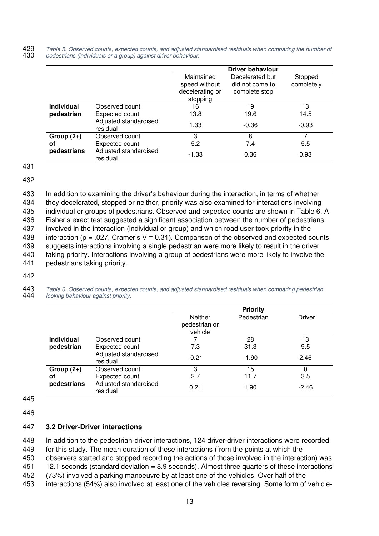429 Table 5. Observed counts, expected counts, and adjusted standardised residuals when comparing the number of 430 pedestrians (individuals or a group) against driver behaviour. pedestrians (individuals or a group) against driver behaviour.

<span id="page-13-0"></span>

|                   |                                   |                                                            | <b>Driver behaviour</b>                             |                       |
|-------------------|-----------------------------------|------------------------------------------------------------|-----------------------------------------------------|-----------------------|
|                   |                                   | Maintained<br>speed without<br>decelerating or<br>stopping | Decelerated but<br>did not come to<br>complete stop | Stopped<br>completely |
| <b>Individual</b> | Observed count                    | 16                                                         | 19                                                  | 13                    |
| pedestrian        | Expected count                    | 13.8                                                       | 19.6                                                | 14.5                  |
|                   | Adjusted standardised<br>residual | 1.33                                                       | $-0.36$                                             | $-0.93$               |
| Group $(2+)$      | Observed count                    | 3                                                          | 8                                                   |                       |
| οf                | Expected count                    | 5.2                                                        | 7.4                                                 | 5.5                   |
| pedestrians       | Adjusted standardised<br>residual | $-1.33$                                                    | 0.36                                                | 0.93                  |

431

432

 In addition to examining the driver's behaviour during the interaction, in terms of whether they decelerated, stopped or neither, priority was also examined for interactions involving individual or groups of pedestrians. Observed and expected counts are shown in [Table 6.](#page-13-1) A Fisher's exact test suggested a significant association between the number of pedestrians involved in the interaction (individual or group) and which road user took priority in the 438 interaction (p = .027, Cramer's V = 0.31). Comparison of the observed and expected counts suggests interactions involving a single pedestrian were more likely to result in the driver taking priority. Interactions involving a group of pedestrians were more likely to involve the pedestrians taking priority.

442

443 Table 6. Observed counts, expected counts, and adjusted standardised residuals when comparing pedestrian<br>444 Jooking behaviour against priority. looking behaviour against priority.

<span id="page-13-1"></span>

|                   |                                   |                                            | <b>Priority</b> |         |
|-------------------|-----------------------------------|--------------------------------------------|-----------------|---------|
|                   |                                   | <b>Neither</b><br>pedestrian or<br>vehicle | Pedestrian      | Driver  |
| <b>Individual</b> | Observed count                    |                                            | 28              | 13      |
| pedestrian        | Expected count                    | 7.3                                        | 31.3            | 9.5     |
|                   | Adjusted standardised<br>residual | $-0.21$                                    | $-1.90$         | 2.46    |
| Group $(2+)$      | Observed count                    | 3                                          | 15              | 0       |
| οf                | Expected count                    | 2.7                                        | 11.7            | 3.5     |
| pedestrians       | Adjusted standardised<br>residual | 0.21                                       | 1.90            | $-2.46$ |

445

446

#### 447 **3.2 Driver-Driver interactions**

448 In addition to the pedestrian-driver interactions, 124 driver-driver interactions were recorded 449 for this study. The mean duration of these interactions (from the points at which the

450 observers started and stopped recording the actions of those involved in the interaction) was

451 12.1 seconds (standard deviation = 8.9 seconds). Almost three quarters of these interactions

452 (73%) involved a parking manoeuvre by at least one of the vehicles. Over half of the

453 interactions (54%) also involved at least one of the vehicles reversing. Some form of vehicle-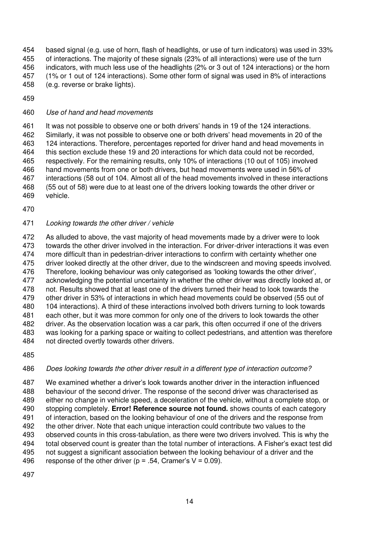based signal (e.g. use of horn, flash of headlights, or use of turn indicators) was used in 33% of interactions. The majority of these signals (23% of all interactions) were use of the turn indicators, with much less use of the headlights (2% or 3 out of 124 interactions) or the horn (1% or 1 out of 124 interactions). Some other form of signal was used in 8% of interactions (e.g. reverse or brake lights).

## Use of hand and head movements

461 It was not possible to observe one or both drivers' hands in 19 of the 124 interactions. Similarly, it was not possible to observe one or both drivers' head movements in 20 of the 124 interactions. Therefore, percentages reported for driver hand and head movements in this section exclude these 19 and 20 interactions for which data could not be recorded, respectively. For the remaining results, only 10% of interactions (10 out of 105) involved hand movements from one or both drivers, but head movements were used in 56% of interactions (58 out of 104. Almost all of the head movements involved in these interactions (55 out of 58) were due to at least one of the drivers looking towards the other driver or vehicle.

## Looking towards the other driver / vehicle

 As alluded to above, the vast majority of head movements made by a driver were to look towards the other driver involved in the interaction. For driver-driver interactions it was even more difficult than in pedestrian-driver interactions to confirm with certainty whether one driver looked directly at the other driver, due to the windscreen and moving speeds involved. Therefore, looking behaviour was only categorised as 'looking towards the other driver', acknowledging the potential uncertainty in whether the other driver was directly looked at, or not. Results showed that at least one of the drivers turned their head to look towards the other driver in 53% of interactions in which head movements could be observed (55 out of 104 interactions). A third of these interactions involved both drivers turning to look towards each other, but it was more common for only one of the drivers to look towards the other driver. As the observation location was a car park, this often occurred if one of the drivers was looking for a parking space or waiting to collect pedestrians, and attention was therefore not directed overtly towards other drivers.

# Does looking towards the other driver result in a different type of interaction outcome?

 We examined whether a driver's look towards another driver in the interaction influenced behaviour of the second driver. The response of the second driver was characterised as either no change in vehicle speed, a deceleration of the vehicle, without a complete stop, or stopping completely. **Error! Reference source not found.** shows counts of each category of interaction, based on the looking behaviour of one of the drivers and the response from the other driver. Note that each unique interaction could contribute two values to the observed counts in this cross-tabulation, as there were two drivers involved. This is why the total observed count is greater than the total number of interactions. A Fisher's exact test did not suggest a significant association between the looking behaviour of a driver and the 496 response of the other driver ( $p = .54$ , Cramer's V = 0.09).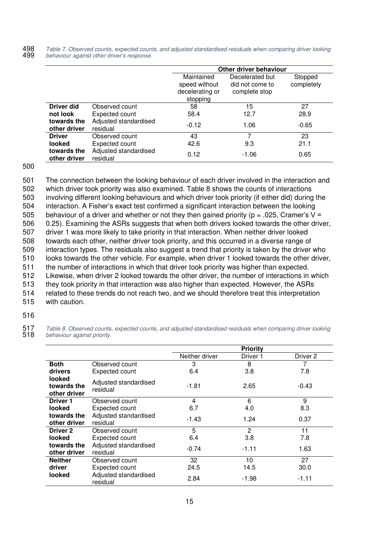498 Table 7. Observed counts, expected counts, and adjusted standardised residuals when comparing driver looking<br>499 behaviour against other driver's response. 499 behaviour against *other driver's response*.

|                             |                                   |                                                            | Other driver behaviour                              |                       |  |  |
|-----------------------------|-----------------------------------|------------------------------------------------------------|-----------------------------------------------------|-----------------------|--|--|
|                             |                                   | Maintained<br>speed without<br>decelerating or<br>stopping | Decelerated but<br>did not come to<br>complete stop | Stopped<br>completely |  |  |
| <b>Driver did</b>           | Observed count                    | 58                                                         | 15                                                  | 27                    |  |  |
| not look                    | Expected count                    | 58.4                                                       | 12.7                                                | 28.9                  |  |  |
| towards the<br>other driver | Adjusted standardised<br>residual | $-0.12$                                                    | 1.06                                                | $-0.65$               |  |  |
| <b>Driver</b>               | Observed count                    | 43                                                         | 7                                                   | 23                    |  |  |
| looked                      | Expected count                    | 42.6                                                       | 9.3                                                 | 21.1                  |  |  |
| towards the<br>other driver | Adjusted standardised<br>residual | 0.12                                                       | $-1.06$                                             | 0.65                  |  |  |

500

 The connection between the looking behaviour of each driver involved in the interaction and which driver took priority was also examined. [Table 8](#page-15-0) shows the counts of interactions involving different looking behaviours and which driver took priority (if either did) during the interaction. A Fisher's exact test confirmed a significant interaction between the looking 505 behaviour of a driver and whether or not they then gained priority ( $p = 0.025$ , Cramer's V = 0.25). Examining the ASRs suggests that when both drivers looked towards the other driver, driver 1 was more likely to take priority in that interaction. When neither driver looked towards each other, neither driver took priority, and this occurred in a diverse range of interaction types. The residuals also suggest a trend that priority is taken by the driver who looks towards the other vehicle. For example, when driver 1 looked towards the other driver, the number of interactions in which that driver took priority was higher than expected. Likewise, when driver 2 looked towards the other driver, the number of interactions in which they took priority in that interaction was also higher than expected. However, the ASRs related to these trends do not reach two, and we should therefore treat this interpretation with caution.

516

517 Table 8. Observed counts, expected counts, and adjusted standardised residuals when comparing driver looking<br>518 behaviour against priority. behaviour against priority.

<span id="page-15-0"></span>

|                                       |                                   |                | <b>Priority</b> |          |
|---------------------------------------|-----------------------------------|----------------|-----------------|----------|
|                                       |                                   | Neither driver | Driver 1        | Driver 2 |
| <b>Both</b>                           | Observed count                    | 3              | 8               |          |
| drivers                               | Expected count                    | 6.4            | 3.8             | 7.8      |
| looked<br>towards the<br>other driver | Adjusted standardised<br>residual | $-1.81$        | 2.65            | -0.43    |
| Driver 1                              | Observed count                    | 4              | 6               | 9        |
| looked                                | Expected count                    | 6.7            | 4.0             | 8.3      |
| towards the<br>other driver           | Adjusted standardised<br>residual | $-1.43$        | 1.24            | 0.37     |
| Driver 2                              | Observed count                    | 5              | 2               | 11       |
| looked                                | Expected count                    | 6.4            | 3.8             | 7.8      |
| towards the<br>other driver           | Adjusted standardised<br>residual | $-0.74$        | $-1.11$         | 1.63     |
| <b>Neither</b>                        | Observed count                    | 32             | 10              | 27       |
| driver                                | Expected count                    | 24.5           | 14.5            | 30.0     |
| looked                                | Adjusted standardised<br>residual | 2.84           | -1.98           | $-1.11$  |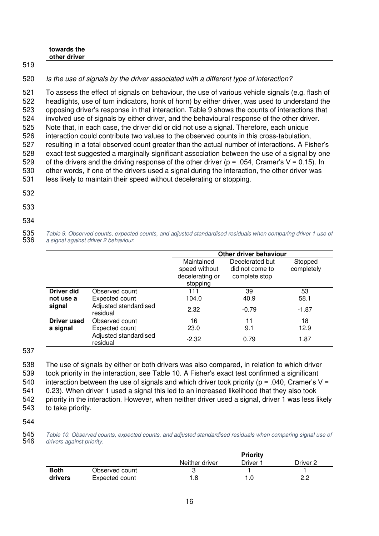| towards the  |  |  |  |
|--------------|--|--|--|
| other driver |  |  |  |
|              |  |  |  |

520 Is the use of signals by the driver associated with a different type of interaction?

 To assess the effect of signals on behaviour, the use of various vehicle signals (e.g. flash of headlights, use of turn indicators, honk of horn) by either driver, was used to understand the opposing driver's response in that interaction. [Table 9](#page-16-0) shows the counts of interactions that involved use of signals by either driver, and the behavioural response of the other driver. Note that, in each case, the driver did or did not use a signal. Therefore, each unique interaction could contribute two values to the observed counts in this cross-tabulation, resulting in a total observed count greater than the actual number of interactions. A Fisher's exact test suggested a marginally significant association between the use of a signal by one 529 of the drivers and the driving response of the other driver ( $p = 0.054$ , Cramer's V = 0.15). In other words, if one of the drivers used a signal during the interaction, the other driver was less likely to maintain their speed without decelerating or stopping.

532

519

533

# 534

535 Table 9. Observed counts, expected counts, and adjusted standardised residuals when comparing driver 1 use of<br>536 a signal against driver 2 behaviour. a signal against driver 2 behaviour.

<span id="page-16-0"></span>

|                    |                                   | Other driver behaviour                                     |                                                     |                       |
|--------------------|-----------------------------------|------------------------------------------------------------|-----------------------------------------------------|-----------------------|
|                    |                                   | Maintained<br>speed without<br>decelerating or<br>stopping | Decelerated but<br>did not come to<br>complete stop | Stopped<br>completely |
| <b>Driver did</b>  | Observed count                    | 111                                                        | 39                                                  | 53                    |
| not use a          | <b>Expected count</b>             | 104.0                                                      | 40.9                                                | 58.1                  |
| signal             | Adjusted standardised<br>residual | 2.32                                                       | $-0.79$                                             | $-1.87$               |
| <b>Driver used</b> | Observed count                    | 16                                                         | 11                                                  | 18                    |
| a signal           | <b>Expected count</b>             | 23.0                                                       | 9.1                                                 | 12.9                  |
|                    | Adjusted standardised<br>residual | $-2.32$                                                    | 0.79                                                | 1.87                  |

537

 The use of signals by either or both drivers was also compared, in relation to which driver took priority in the interaction, see [Table 10.](#page-16-1) A Fisher's exact test confirmed a significant 540 interaction between the use of signals and which driver took priority ( $p = .040$ , Cramer's V = 0.23). When driver 1 used a signal this led to an increased likelihood that they also took priority in the interaction. However, when neither driver used a signal, driver 1 was less likely to take priority.

544

545 Table 10. Observed counts, expected counts, and adjusted standardised residuals when comparing signal use of<br>546 drivers against priority. drivers against priority.

<span id="page-16-1"></span>

|             |                |                | <b>Priority</b> |          |
|-------------|----------------|----------------|-----------------|----------|
|             |                | Neither driver | Driver 1        | Driver 2 |
| <b>Both</b> | Observed count | ື              |                 |          |
| drivers     | Expected count | 1.8            |                 | ר ה      |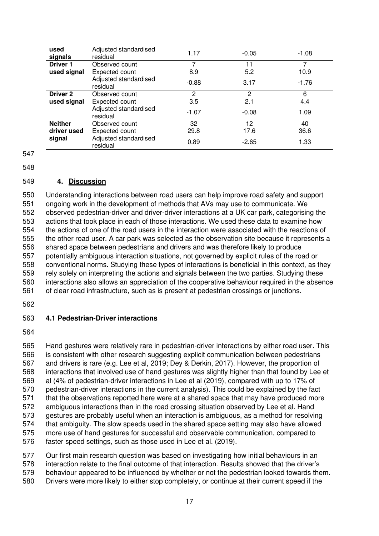| used<br>signals | Adjusted standardised<br>residual | 1.17    | $-0.05$ | $-1.08$ |
|-----------------|-----------------------------------|---------|---------|---------|
| <b>Driver 1</b> | Observed count                    | 7       | 11      |         |
| used signal     | Expected count                    | 8.9     | 5.2     | 10.9    |
|                 | Adjusted standardised<br>residual | $-0.88$ | 3.17    | $-1.76$ |
| <b>Driver 2</b> | Observed count                    | 2       | 2       | 6       |
| used signal     | Expected count                    | 3.5     | 2.1     | 4.4     |
|                 | Adjusted standardised<br>residual | $-1.07$ | $-0.08$ | 1.09    |
| <b>Neither</b>  | Observed count                    | 32      | 12      | 40      |
| driver used     | Expected count                    | 29.8    | 17.6    | 36.6    |
| signal          | Adjusted standardised<br>residual | 0.89    | $-2.65$ | 1.33    |

#### **4. Discussion**

 Understanding interactions between road users can help improve road safety and support ongoing work in the development of methods that AVs may use to communicate. We observed pedestrian-driver and driver-driver interactions at a UK car park, categorising the actions that took place in each of those interactions. We used these data to examine how the actions of one of the road users in the interaction were associated with the reactions of the other road user. A car park was selected as the observation site because it represents a shared space between pedestrians and drivers and was therefore likely to produce potentially ambiguous interaction situations, not governed by explicit rules of the road or conventional norms. Studying these types of interactions is beneficial in this context, as they rely solely on interpreting the actions and signals between the two parties. Studying these interactions also allows an appreciation of the cooperative behaviour required in the absence of clear road infrastructure, such as is present at pedestrian crossings or junctions.

#### **4.1 Pedestrian-Driver interactions**

 Hand gestures were relatively rare in pedestrian-driver interactions by either road user. This is consistent with other research suggesting explicit communication between pedestrians and drivers is rare (e.g. Lee et al, 2019; Dey & Derkin, 2017). However, the proportion of interactions that involved use of hand gestures was slightly higher than that found by Lee et al (4% of pedestrian-driver interactions in Lee et al (2019), compared with up to 17% of pedestrian-driver interactions in the current analysis). This could be explained by the fact that the observations reported here were at a shared space that may have produced more ambiguous interactions than in the road crossing situation observed by Lee et al. Hand gestures are probably useful when an interaction is ambiguous, as a method for resolving that ambiguity. The slow speeds used in the shared space setting may also have allowed more use of hand gestures for successful and observable communication, compared to faster speed settings, such as those used in Lee et al. (2019).

 Our first main research question was based on investigating how initial behaviours in an interaction relate to the final outcome of that interaction. Results showed that the driver's

behaviour appeared to be influenced by whether or not the pedestrian looked towards them.

Drivers were more likely to either stop completely, or continue at their current speed if the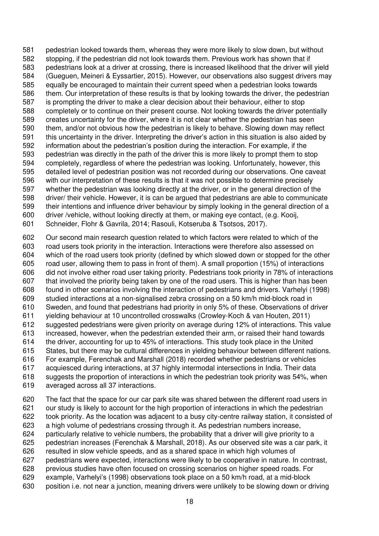pedestrian looked towards them, whereas they were more likely to slow down, but without stopping, if the pedestrian did not look towards them. Previous work has shown that if pedestrians look at a driver at crossing, there is increased likelihood that the driver will yield (Gueguen, Meineri & Eyssartier, 2015). However, our observations also suggest drivers may equally be encouraged to maintain their current speed when a pedestrian looks towards them. Our interpretation of these results is that by looking towards the driver, the pedestrian is prompting the driver to make a clear decision about their behaviour, either to stop completely or to continue on their present course. Not looking towards the driver potentially creates uncertainty for the driver, where it is not clear whether the pedestrian has seen them, and/or not obvious how the pedestrian is likely to behave. Slowing down may reflect this uncertainty in the driver. Interpreting the driver's action in this situation is also aided by information about the pedestrian's position during the interaction. For example, if the pedestrian was directly in the path of the driver this is more likely to prompt them to stop completely, regardless of where the pedestrian was looking. Unfortunately, however, this detailed level of pedestrian position was not recorded during our observations. One caveat with our interpretation of these results is that it was not possible to determine precisely whether the pedestrian was looking directly at the driver, or in the general direction of the driver/ their vehicle. However, it is can be argued that pedestrians are able to communicate their intentions and influence driver behaviour by simply looking in the general direction of a driver /vehicle, without looking directly at them, or making eye contact, (e.g. Kooij, Schneider, Flohr & Gavrila, 2014; Rasouli, Kotseruba & Tsotsos, 2017).

 Our second main research question related to which factors were related to which of the road users took priority in the interaction. Interactions were therefore also assessed on which of the road users took priority (defined by which slowed down or stopped for the other road user, allowing them to pass in front of them). A small proportion (15%) of interactions did not involve either road user taking priority. Pedestrians took priority in 78% of interactions that involved the priority being taken by one of the road users. This is higher than has been found in other scenarios involving the interaction of pedestrians and drivers. Varhelyi (1998) studied interactions at a non-signalised zebra crossing on a 50 km/h mid-block road in Sweden, and found that pedestrians had priority in only 5% of these. Observations of driver yielding behaviour at 10 uncontrolled crosswalks (Crowley-Koch & van Houten, 2011) suggested pedestrians were given priority on average during 12% of interactions. This value increased, however, when the pedestrian extended their arm, or raised their hand towards the driver, accounting for up to 45% of interactions. This study took place in the United States, but there may be cultural differences in yielding behaviour between different nations. For example, Ferenchak and Marshall (2018) recorded whether pedestrians or vehicles acquiesced during interactions, at 37 highly intermodal intersections in India. Their data suggests the proportion of interactions in which the pedestrian took priority was 54%, when averaged across all 37 interactions.

 The fact that the space for our car park site was shared between the different road users in our study is likely to account for the high proportion of interactions in which the pedestrian took priority. As the location was adjacent to a busy city-centre railway station, it consisted of a high volume of pedestrians crossing through it. As pedestrian numbers increase, particularly relative to vehicle numbers, the probability that a driver will give priority to a pedestrian increases (Ferenchak & Marshall, 2018). As our observed site was a car park, it resulted in slow vehicle speeds, and as a shared space in which high volumes of pedestrians were expected, interactions were likely to be cooperative in nature. In contrast, previous studies have often focused on crossing scenarios on higher speed roads. For example, Varhelyi's (1998) observations took place on a 50 km/h road, at a mid-block position i.e. not near a junction, meaning drivers were unlikely to be slowing down or driving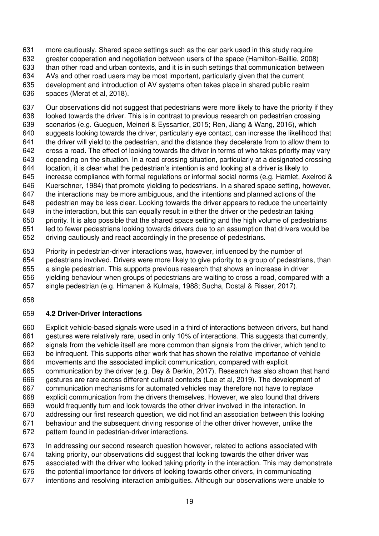more cautiously. Shared space settings such as the car park used in this study require greater cooperation and negotiation between users of the space (Hamilton-Baillie, 2008) than other road and urban contexts, and it is in such settings that communication between AVs and other road users may be most important, particularly given that the current development and introduction of AV systems often takes place in shared public realm spaces (Merat et al, 2018).

 Our observations did not suggest that pedestrians were more likely to have the priority if they looked towards the driver. This is in contrast to previous research on pedestrian crossing scenarios (e.g. Gueguen, Meineri & Eyssartier, 2015; Ren, Jiang & Wang, 2016), which suggests looking towards the driver, particularly eye contact, can increase the likelihood that the driver will yield to the pedestrian, and the distance they decelerate from to allow them to cross a road. The effect of looking towards the driver in terms of who takes priority may vary depending on the situation. In a road crossing situation, particularly at a designated crossing location, it is clear what the pedestrian's intention is and looking at a driver is likely to increase compliance with formal regulations or informal social norms (e.g. Hamlet, Axelrod & Kuerschner, 1984) that promote yielding to pedestrians. In a shared space setting, however, the interactions may be more ambiguous, and the intentions and planned actions of the pedestrian may be less clear. Looking towards the driver appears to reduce the uncertainty in the interaction, but this can equally result in either the driver or the pedestrian taking priority. It is also possible that the shared space setting and the high volume of pedestrians led to fewer pedestrians looking towards drivers due to an assumption that drivers would be driving cautiously and react accordingly in the presence of pedestrians.

 Priority in pedestrian-driver interactions was, however, influenced by the number of pedestrians involved. Drivers were more likely to give priority to a group of pedestrians, than a single pedestrian. This supports previous research that shows an increase in driver yielding behaviour when groups of pedestrians are waiting to cross a road, compared with a

- single pedestrian (e.g. Himanen & Kulmala, 1988; Sucha, Dostal & Risser, 2017).
- 

# **4.2 Driver-Driver interactions**

 Explicit vehicle-based signals were used in a third of interactions between drivers, but hand gestures were relatively rare, used in only 10% of interactions. This suggests that currently, signals from the vehicle itself are more common than signals from the driver, which tend to be infrequent. This supports other work that has shown the relative importance of vehicle movements and the associated implicit communication, compared with explicit communication by the driver (e.g. Dey & Derkin, 2017). Research has also shown that hand gestures are rare across different cultural contexts (Lee et al, 2019). The development of communication mechanisms for automated vehicles may therefore not have to replace explicit communication from the drivers themselves. However, we also found that drivers would frequently turn and look towards the other driver involved in the interaction. In addressing our first research question, we did not find an association between this looking behaviour and the subsequent driving response of the other driver however, unlike the pattern found in pedestrian-driver interactions.

In addressing our second research question however, related to actions associated with

taking priority, our observations did suggest that looking towards the other driver was

associated with the driver who looked taking priority in the interaction. This may demonstrate

- the potential importance for drivers of looking towards other drivers, in communicating
- intentions and resolving interaction ambiguities. Although our observations were unable to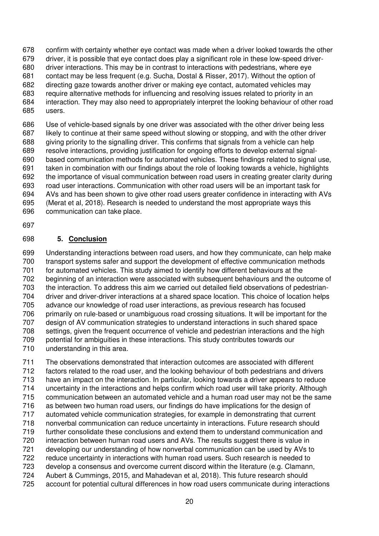confirm with certainty whether eye contact was made when a driver looked towards the other driver, it is possible that eye contact does play a significant role in these low-speed driver- driver interactions. This may be in contrast to interactions with pedestrians, where eye contact may be less frequent (e.g. Sucha, Dostal & Risser, 2017). Without the option of directing gaze towards another driver or making eye contact, automated vehicles may require alternative methods for influencing and resolving issues related to priority in an interaction. They may also need to appropriately interpret the looking behaviour of other road users.

 Use of vehicle-based signals by one driver was associated with the other driver being less likely to continue at their same speed without slowing or stopping, and with the other driver giving priority to the signalling driver. This confirms that signals from a vehicle can help resolve interactions, providing justification for ongoing efforts to develop external signal- based communication methods for automated vehicles. These findings related to signal use, taken in combination with our findings about the role of looking towards a vehicle, highlights the importance of visual communication between road users in creating greater clarity during road user interactions. Communication with other road users will be an important task for AVs and has been shown to give other road users greater confidence in interacting with AVs (Merat et al, 2018). Research is needed to understand the most appropriate ways this communication can take place.

# **5. Conclusion**

 Understanding interactions between road users, and how they communicate, can help make transport systems safer and support the development of effective communication methods for automated vehicles. This study aimed to identify how different behaviours at the beginning of an interaction were associated with subsequent behaviours and the outcome of the interaction. To address this aim we carried out detailed field observations of pedestrian- driver and driver-driver interactions at a shared space location. This choice of location helps advance our knowledge of road user interactions, as previous research has focused primarily on rule-based or unambiguous road crossing situations. It will be important for the design of AV communication strategies to understand interactions in such shared space settings, given the frequent occurrence of vehicle and pedestrian interactions and the high potential for ambiguities in these interactions. This study contributes towards our understanding in this area.

 The observations demonstrated that interaction outcomes are associated with different factors related to the road user, and the looking behaviour of both pedestrians and drivers have an impact on the interaction. In particular, looking towards a driver appears to reduce uncertainty in the interactions and helps confirm which road user will take priority. Although communication between an automated vehicle and a human road user may not be the same as between two human road users, our findings do have implications for the design of automated vehicle communication strategies, for example in demonstrating that current nonverbal communication can reduce uncertainty in interactions. Future research should further consolidate these conclusions and extend them to understand communication and interaction between human road users and AVs. The results suggest there is value in developing our understanding of how nonverbal communication can be used by AVs to reduce uncertainty in interactions with human road users. Such research is needed to develop a consensus and overcome current discord within the literature (e.g. Clamann, Aubert & Cummings, 2015, and Mahadevan et al, 2018). This future research should account for potential cultural differences in how road users communicate during interactions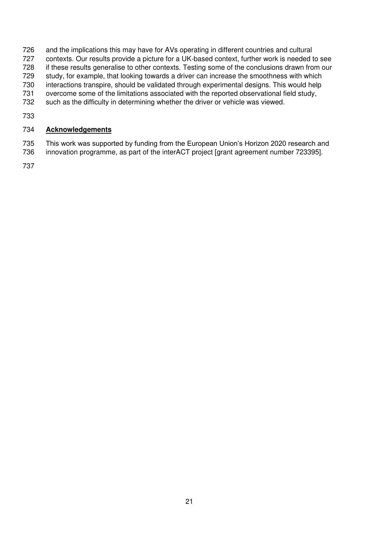- and the implications this may have for AVs operating in different countries and cultural contexts. Our results provide a picture for a UK-based context, further work is needed to see if these results generalise to other contexts. Testing some of the conclusions drawn from our study, for example, that looking towards a driver can increase the smoothness with which interactions transpire, should be validated through experimental designs. This would help overcome some of the limitations associated with the reported observational field study, such as the difficulty in determining whether the driver or vehicle was viewed.
- 

#### **Acknowledgements**

 This work was supported by funding from the European Union's Horizon 2020 research and innovation programme, as part of the interACT project [grant agreement number 723395].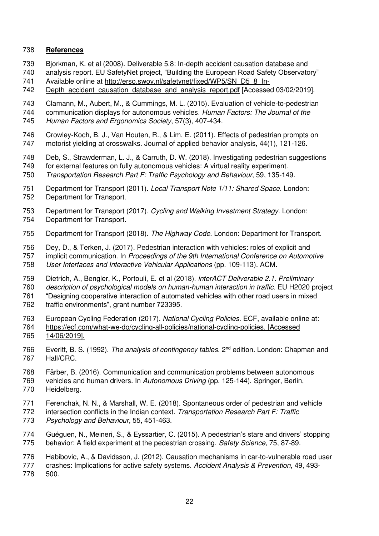#### **References**

- Bjorkman, K. et al (2008). Deliverable 5.8: In-depth accident causation database and
- analysis report. EU SafetyNet project, "Building the European Road Safety Observatory"
- Available online at [http://erso.swov.nl/safetynet/fixed/WP5/SN\\_D5\\_8\\_In-](http://erso.swov.nl/safetynet/fixed/WP5/SN_D5_8_In-Depth_accident_causation_database_and_analysis_report.pdf)
- [Depth\\_accident\\_causation\\_database\\_and\\_analysis\\_report.pdf](http://erso.swov.nl/safetynet/fixed/WP5/SN_D5_8_In-Depth_accident_causation_database_and_analysis_report.pdf) [Accessed 03/02/2019].

 Clamann, M., Aubert, M., & Cummings, M. L. (2015). Evaluation of vehicle-to-pedestrian communication displays for autonomous vehicles. Human Factors: The Journal of the Human Factors and Ergonomics Society, 57(3), 407-434.

746 Crowley-Koch, B. J., Van Houten, R., & Lim, E. (2011). Effects of pedestrian prompts on 747 motorist vielding at crosswalks. Journal of applied behavior analysis, 44(1), 121-126. motorist yielding at crosswalks. Journal of applied behavior analysis, 44(1), 121-126.

 Deb, S., Strawderman, L. J., & Carruth, D. W. (2018). Investigating pedestrian suggestions for external features on fully autonomous vehicles: A virtual reality experiment. Transportation Research Part F: Traffic Psychology and Behaviour, 59, 135-149.

- 751 Department for Transport (2011). Local Transport Note 1/11: Shared Space. London: Department for Transport.
- Department for Transport (2017). Cycling and Walking Investment Strategy. London: Department for Transport.
- 755 Department for Transport (2018). The Highway Code. London: Department for Transport.

Dey, D., & Terken, J. (2017). Pedestrian interaction with vehicles: roles of explicit and

757 implicit communication. In Proceedings of the 9th International Conference on Automotive User Interfaces and Interactive Vehicular Applications (pp. 109-113). ACM.

- Dietrich, A., Bengler, K., Portouli, E. et al (2018). interACT Deliverable 2.1. Preliminary description of psychological models on human-human interaction in traffic. EU H2020 project "Designing cooperative interaction of automated vehicles with other road users in mixed traffic environments", grant number 723395.
- European Cycling Federation (2017). National Cycling Policies. ECF, available online at: [https://ecf.com/what-we-do/cycling-all-policies/national-cycling-policies.](https://ecf.com/what-we-do/cycling-all-policies/national-cycling-policies) [Accessed 14/06/2019].
- 766 Everitt, B. S. (1992). The analysis of contingency tables. 2<sup>nd</sup> edition. London: Chapman and Hall/CRC.
- Färber, B. (2016). Communication and communication problems between autonomous vehicles and human drivers. In Autonomous Driving (pp. 125-144). Springer, Berlin, Heidelberg.
- Ferenchak, N. N., & Marshall, W. E. (2018). Spontaneous order of pedestrian and vehicle 772 intersection conflicts in the Indian context. Transportation Research Part F: Traffic Psychology and Behaviour, 55, 451-463.
- Guéguen, N., Meineri, S., & Eyssartier, C. (2015). A pedestrian's stare and drivers' stopping behavior: A field experiment at the pedestrian crossing. Safety Science, 75, 87-89.
- Habibovic, A., & Davidsson, J. (2012). Causation mechanisms in car-to-vulnerable road user
- 777 crashes: Implications for active safety systems. Accident Analysis & Prevention, 49, 493-
- 500.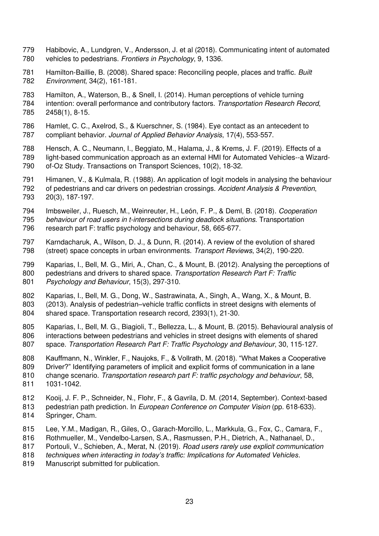- Habibovic, A., Lundgren, V., Andersson, J. et al (2018). Communicating intent of automated vehicles to pedestrians. Frontiers in Psychology, 9, 1336.
- 781 Hamilton-Baillie, B. (2008). Shared space: Reconciling people, places and traffic. Built Environment, 34(2), 161-181.
- Hamilton, A., Waterson, B., & Snell, I. (2014). Human perceptions of vehicle turning intention: overall performance and contributory factors. Transportation Research Record, 2458(1), 8-15.
- Hamlet, C. C., Axelrod, S., & Kuerschner, S. (1984). Eye contact as an antecedent to compliant behavior. Journal of Applied Behavior Analysis, 17(4), 553-557.
- Hensch, A. C., Neumann, I., Beggiato, M., Halama, J., & Krems, J. F. (2019). Effects of a light-based communication approach as an external HMI for Automated Vehicles--a Wizard-of-Oz Study. Transactions on Transport Sciences, 10(2), 18-32.
- Himanen, V., & Kulmala, R. (1988). An application of logit models in analysing the behaviour of pedestrians and car drivers on pedestrian crossings. Accident Analysis & Prevention, 20(3), 187-197.
- Imbsweiler, J., Ruesch, M., Weinreuter, H., León, F. P., & Deml, B. (2018). Cooperation
- behaviour of road users in t-intersections during deadlock situations. Transportation research part F: traffic psychology and behaviour, 58, 665-677.
- Karndacharuk, A., Wilson, D. J., & Dunn, R. (2014). A review of the evolution of shared (street) space concepts in urban environments. Transport Reviews, 34(2), 190-220.
- Kaparias, I., Bell, M. G., Miri, A., Chan, C., & Mount, B. (2012). Analysing the perceptions of 800 pedestrians and drivers to shared space. Transportation Research Part F: Traffic 801 Psychology and Behaviour, 15(3), 297-310.
- Kaparias, I., Bell, M. G., Dong, W., Sastrawinata, A., Singh, A., Wang, X., & Mount, B. (2013). Analysis of pedestrian–vehicle traffic conflicts in street designs with elements of shared space. Transportation research record, 2393(1), 21-30.
- Kaparias, I., Bell, M. G., Biagioli, T., Bellezza, L., & Mount, B. (2015). Behavioural analysis of interactions between pedestrians and vehicles in street designs with elements of shared 807 space. Transportation Research Part F: Traffic Psychology and Behaviour, 30, 115-127.
- Kauffmann, N., Winkler, F., Naujoks, F., & Vollrath, M. (2018). "What Makes a Cooperative
- Driver?" Identifying parameters of implicit and explicit forms of communication in a lane
- 810 change scenario. Transportation research part F: traffic psychology and behaviour, 58,
- 1031-1042.
- Kooij, J. F. P., Schneider, N., Flohr, F., & Gavrila, D. M. (2014, September). Context-based
- 813 pedestrian path prediction. In European Conference on Computer Vision (pp. 618-633).
- Springer, Cham.
- Lee, Y.M., Madigan, R., Giles, O., Garach-Morcillo, L., Markkula, G., Fox, C., Camara, F.,
- Rothmueller, M., Vendelbo-Larsen, S.A., Rasmussen, P.H., Dietrich, A., Nathanael, D.,
- 817 Portouli, V., Schieben, A., Merat, N. (2019). Road users rarely use explicit communication
- *techniques when interacting in today's traffic: Implications for Automated Vehicles*.
- Manuscript submitted for publication.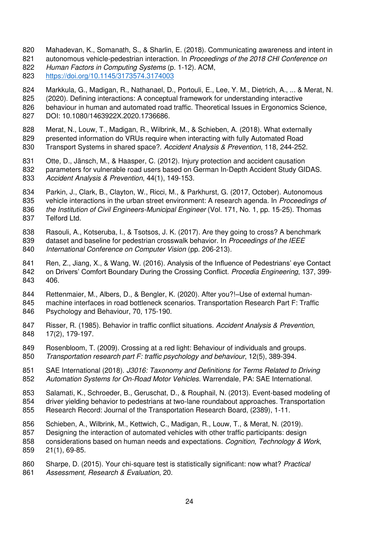- Mahadevan, K., Somanath, S., & Sharlin, E. (2018). Communicating awareness and intent in
- 821 autonomous vehicle-pedestrian interaction. In Proceedings of the 2018 CHI Conference on
- 822 Human Factors in Computing Systems (p. 1-12), ACM,
- <https://doi.org/10.1145/3173574.3174003>
- Markkula, G., Madigan, R., Nathanael, D., Portouli, E., Lee, Y. M., Dietrich, A., ... & Merat, N.
- (2020). Defining interactions: A conceptual framework for understanding interactive behaviour in human and automated road traffic. Theoretical Issues in Ergonomics Science,
- DOI: 10.1080/1463922X.2020.1736686.
- Merat, N., Louw, T., Madigan, R., Wilbrink, M., & Schieben, A. (2018). What externally presented information do VRUs require when interacting with fully Automated Road
- 830 Transport Systems in shared space?. Accident Analysis & Prevention, 118, 244-252.
- Otte, D., Jänsch, M., & Haasper, C. (2012). Injury protection and accident causation parameters for vulnerable road users based on German In-Depth Accident Study GIDAS. 833 Accident Analysis & Prevention, 44(1), 149-153.
- Parkin, J., Clark, B., Clayton, W., Ricci, M., & Parkhurst, G. (2017, October). Autonomous 835 vehicle interactions in the urban street environment: A research agenda. In Proceedings of
- 836 the Institution of Civil Engineers-Municipal Engineer (Vol. 171, No. 1, pp. 15-25). Thomas
- Telford Ltd.
- Rasouli, A., Kotseruba, I., & Tsotsos, J. K. (2017). Are they going to cross? A benchmark 839 dataset and baseline for pedestrian crosswalk behavior. In Proceedings of the IEEE 840 International Conference on Computer Vision (pp. 206-213).
- Ren, Z., Jiang, X., & Wang, W. (2016). Analysis of the Influence of Pedestrians' eye Contact 842 on Drivers' Comfort Boundary During the Crossing Conflict. Procedia Engineering, 137, 399-406.
- Rettenmaier, M., Albers, D., & Bengler, K. (2020). After you?!–Use of external human- machine interfaces in road bottleneck scenarios. Transportation Research Part F: Traffic Psychology and Behaviour, 70, 175-190.
- 847 Risser, R. (1985). Behavior in traffic conflict situations. Accident Analysis & Prevention, 17(2), 179-197.
- Rosenbloom, T. (2009). Crossing at a red light: Behaviour of individuals and groups. Transportation research part F: traffic psychology and behaviour, 12(5), 389-394.
- 851 SAE International (2018). J3016: Taxonomy and Definitions for Terms Related to Driving 852 Automation Systems for On-Road Motor Vehicles. Warrendale, PA: SAE International.
- Salamati, K., Schroeder, B., Geruschat, D., & Rouphail, N. (2013). Event-based modeling of driver yielding behavior to pedestrians at two-lane roundabout approaches. Transportation Research Record: Journal of the Transportation Research Board, (2389), 1-11.
- Schieben, A., Wilbrink, M., Kettwich, C., Madigan, R., Louw, T., & Merat, N. (2019).
- Designing the interaction of automated vehicles with other traffic participants: design
- 858 considerations based on human needs and expectations. Cognition, Technology & Work,
- 21(1), 69-85.
- 860 Sharpe, D. (2015). Your chi-square test is statistically significant: now what? Practical 861 Assessment, Research & Evaluation, 20.